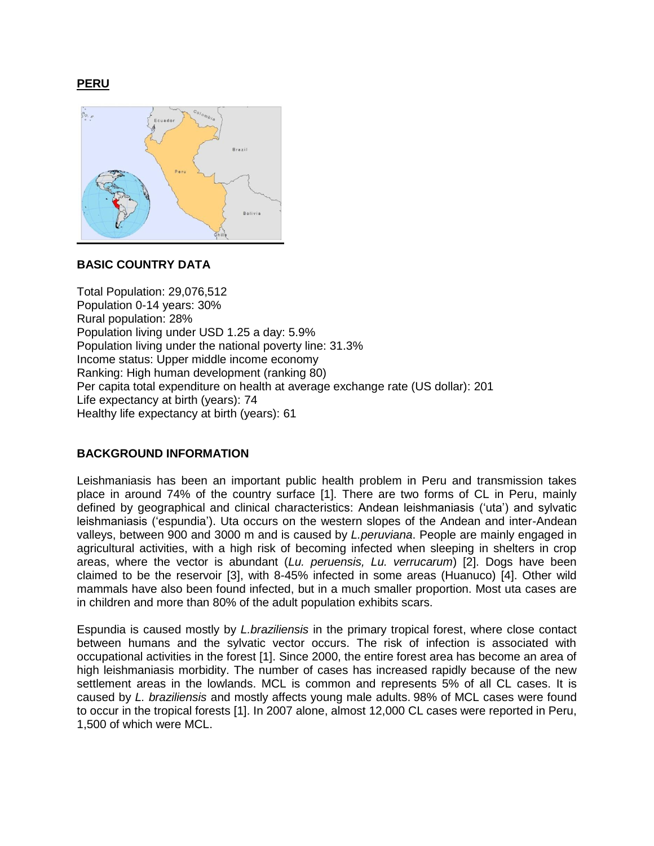**PERU** 



# **BASIC COUNTRY DATA**

Total Population: 29,076,512 Population 0-14 years: 30% Rural population: 28% Population living under USD 1.25 a day: 5.9% Population living under the national poverty line: 31.3% Income status: Upper middle income economy Ranking: High human development (ranking 80) Per capita total expenditure on health at average exchange rate (US dollar): 201 Life expectancy at birth (years): 74 Healthy life expectancy at birth (years): 61

# **BACKGROUND INFORMATION**

Leishmaniasis has been an important public health problem in Peru and transmission takes place in around 74% of the country surface [1]. There are two forms of CL in Peru, mainly defined by geographical and clinical characteristics: Andean leishmaniasis ('uta') and sylvatic leishmaniasis ('espundia'). Uta occurs on the western slopes of the Andean and inter-Andean valleys, between 900 and 3000 m and is caused by *L.peruviana*. People are mainly engaged in agricultural activities, with a high risk of becoming infected when sleeping in shelters in crop areas, where the vector is abundant (*Lu. peruensis, Lu. verrucarum*) [2]. Dogs have been claimed to be the reservoir [3], with 8-45% infected in some areas (Huanuco) [4]. Other wild mammals have also been found infected, but in a much smaller proportion. Most uta cases are in children and more than 80% of the adult population exhibits scars.

Espundia is caused mostly by *L.braziliensis* in the primary tropical forest, where close contact between humans and the sylvatic vector occurs. The risk of infection is associated with occupational activities in the forest [1]. Since 2000, the entire forest area has become an area of high leishmaniasis morbidity. The number of cases has increased rapidly because of the new settlement areas in the lowlands. MCL is common and represents 5% of all CL cases. It is caused by *L. braziliensis* and mostly affects young male adults. 98% of MCL cases were found to occur in the tropical forests [1]. In 2007 alone, almost 12,000 CL cases were reported in Peru, 1,500 of which were MCL.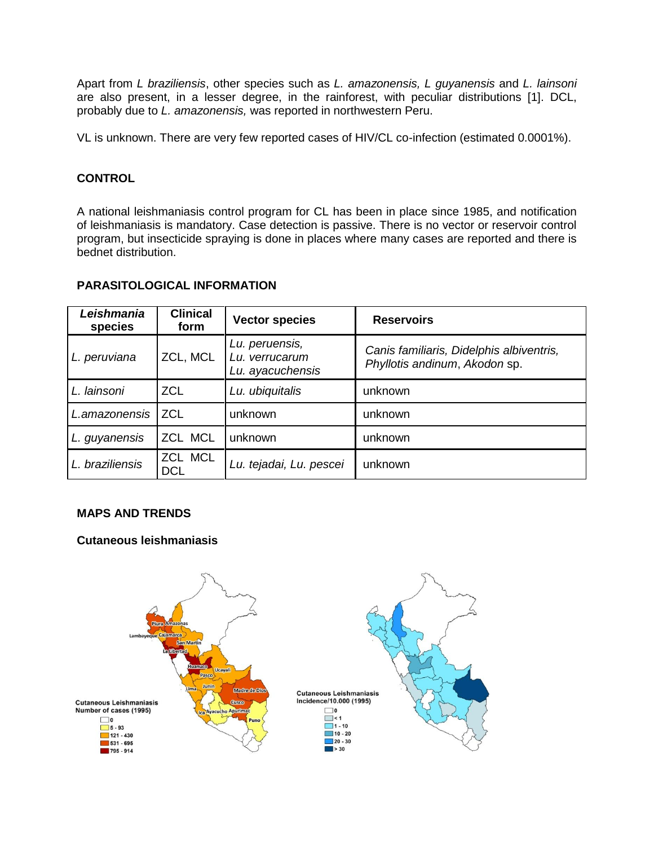Apart from *L braziliensis*, other species such as *L. amazonensis, L guyanensis* and *L. lainsoni* are also present, in a lesser degree, in the rainforest, with peculiar distributions [1]. DCL, probably due to *L. amazonensis,* was reported in northwestern Peru.

VL is unknown. There are very few reported cases of HIV/CL co-infection (estimated 0.0001%).

# **CONTROL**

A national leishmaniasis control program for CL has been in place since 1985, and notification of leishmaniasis is mandatory. Case detection is passive. There is no vector or reservoir control program, but insecticide spraying is done in places where many cases are reported and there is bednet distribution.

| Leishmania<br>species | <b>Clinical</b><br>form | <b>Vector species</b>                                | <b>Reservoirs</b>                                                         |
|-----------------------|-------------------------|------------------------------------------------------|---------------------------------------------------------------------------|
| L. peruviana          | ZCL, MCL                | Lu. peruensis,<br>Lu. verrucarum<br>Lu. ayacuchensis | Canis familiaris, Didelphis albiventris,<br>Phyllotis andinum, Akodon sp. |
| L. lainsoni           | <b>ZCL</b>              | Lu. ubiquitalis                                      | unknown                                                                   |
| L.amazonensis         | <b>ZCL</b>              | unknown                                              | unknown                                                                   |
| L. guyanensis         | ZCL MCL                 | unknown                                              | unknown                                                                   |
| L. braziliensis       | ZCL MCL<br><b>DCL</b>   | Lu. tejadai, Lu. pescei                              | unknown                                                                   |

### **PARASITOLOGICAL INFORMATION**

# **MAPS AND TRENDS**

# **Cutaneous leishmaniasis**

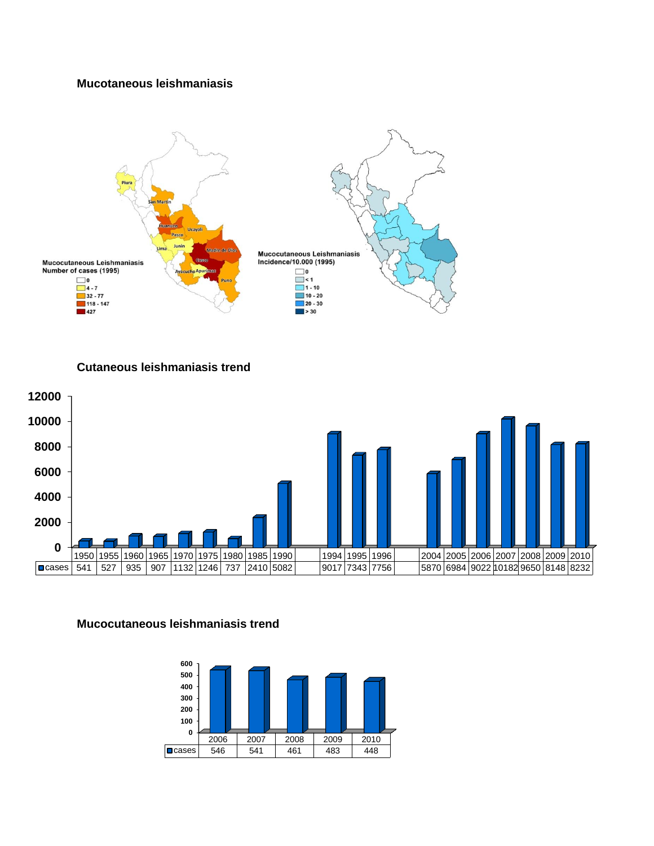## **Mucotaneous leishmaniasis**



**Cutaneous leishmaniasis trend**



### **Mucocutaneous leishmaniasis trend**

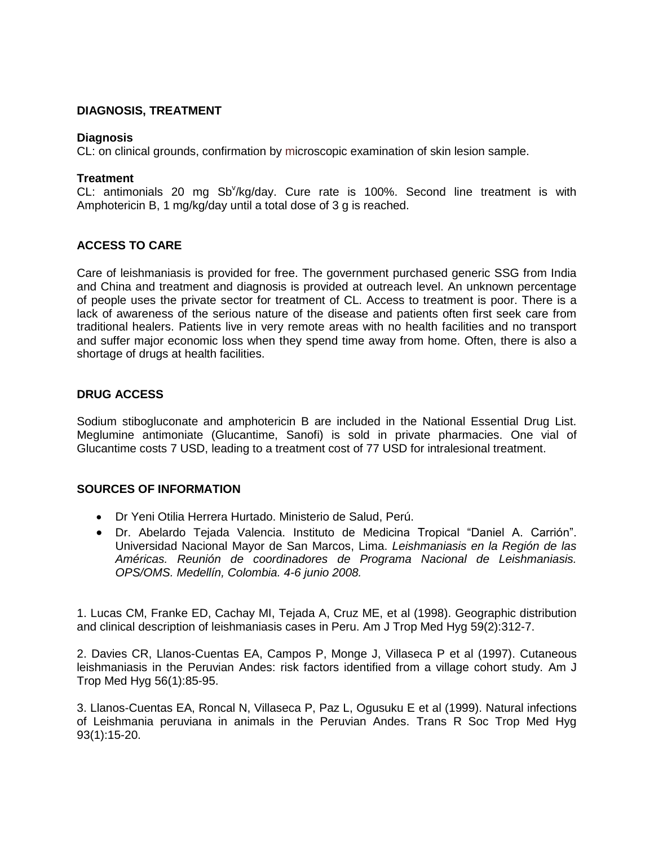## **DIAGNOSIS, TREATMENT**

### **Diagnosis**

CL: on clinical grounds, confirmation by microscopic examination of skin lesion sample.

### **Treatment**

CL: antimonials 20 mg Sb<sup>y</sup>/kg/day. Cure rate is 100%. Second line treatment is with Amphotericin B, 1 mg/kg/day until a total dose of 3 g is reached.

# **ACCESS TO CARE**

Care of leishmaniasis is provided for free. The government purchased generic SSG from India and China and treatment and diagnosis is provided at outreach level. An unknown percentage of people uses the private sector for treatment of CL. Access to treatment is poor. There is a lack of awareness of the serious nature of the disease and patients often first seek care from traditional healers. Patients live in very remote areas with no health facilities and no transport and suffer major economic loss when they spend time away from home. Often, there is also a shortage of drugs at health facilities.

## **DRUG ACCESS**

Sodium stibogluconate and amphotericin B are included in the National Essential Drug List. Meglumine antimoniate (Glucantime, Sanofi) is sold in private pharmacies. One vial of Glucantime costs 7 USD, leading to a treatment cost of 77 USD for intralesional treatment.

### **SOURCES OF INFORMATION**

- Dr Yeni Otilia Herrera Hurtado. Ministerio de Salud, Perú.
- Dr. Abelardo Tejada Valencia. Instituto de Medicina Tropical "Daniel A. Carrión". Universidad Nacional Mayor de San Marcos, Lima. *Leishmaniasis en la Región de las Américas. Reunión de coordinadores de Programa Nacional de Leishmaniasis. OPS/OMS. Medellín, Colombia. 4-6 junio 2008.*

1. Lucas CM, Franke ED, Cachay MI, Tejada A, Cruz ME, et al (1998). [Geographic distribution](http://www.ncbi.nlm.nih.gov/pubmed/9715953)  [and clinical description of leishmaniasis cases in Peru.](http://www.ncbi.nlm.nih.gov/pubmed/9715953) Am J Trop Med Hyg 59(2):312-7.

2. Davies CR, Llanos-Cuentas EA, Campos P, Monge J, Villaseca P et al (1997). [Cutaneous](http://www.ncbi.nlm.nih.gov/pubmed/9063368)  [leishmaniasis in the Peruvian Andes: risk factors identified from a village cohort study.](http://www.ncbi.nlm.nih.gov/pubmed/9063368) Am J Trop Med Hyg 56(1):85-95.

3. Llanos-Cuentas EA, Roncal N, Villaseca P, Paz L, Ogusuku E et al (1999). [Natural infections](http://www.ncbi.nlm.nih.gov/pubmed/10492779)  [of Leishmania peruviana in animals in the Peruvian Andes.](http://www.ncbi.nlm.nih.gov/pubmed/10492779) Trans R Soc Trop Med Hyg 93(1):15-20.